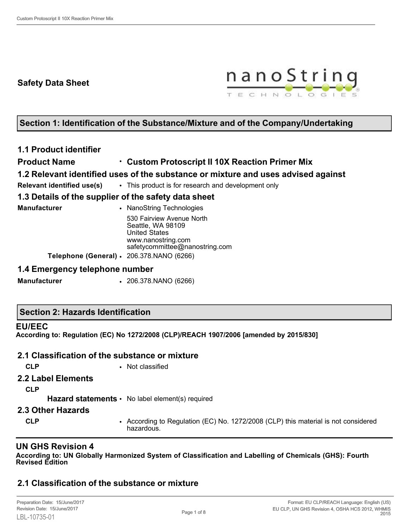# **Safety Data Sheet**



# **Section 1: Identification of the Substance/Mixture and of the Company/Undertaking**

# **1.1 Product identifier**

# **Product Name** • **Custom Protoscript II 10X Reaction Primer Mix**

# **1.2 Relevant identified uses of the substance or mixture and uses advised against**

**Relevant identified use(s)** • This product is for research and development only

# **1.3 Details of the supplier of the safety data sheet**

| Manufacturer | • NanoString Technologies                                              |
|--------------|------------------------------------------------------------------------|
|              | 530 Fairview Avenue North<br>Seattle, WA 98109<br><b>United States</b> |
|              | www.nanostring.com<br>safetycommittee@nanostring.com                   |
|              | Telephone (General) · 206.378.NANO (6266)                              |

### **1.4 Emergency telephone number**

**Manufacturer** • 206.378.NANO (6266)

### **Section 2: Hazards Identification**

#### **EU/EEC**

**According to: Regulation (EC) No 1272/2008 (CLP)/REACH 1907/2006 [amended by 2015/830]**

# **2.1 Classification of the substance or mixture**

**CLP** • Not classified

### **2.2 Label Elements**

**CLP**

Hazard statements • No label element(s) required

#### **2.3 Other Hazards**

**CLP** • According to Regulation (EC) No. 1272/2008 (CLP) this material is not considered hazardous.

# **UN GHS Revision 4**

**According to: UN Globally Harmonized System of Classification and Labelling of Chemicals (GHS): Fourth Revised Edition**

# **2.1 Classification of the substance or mixture**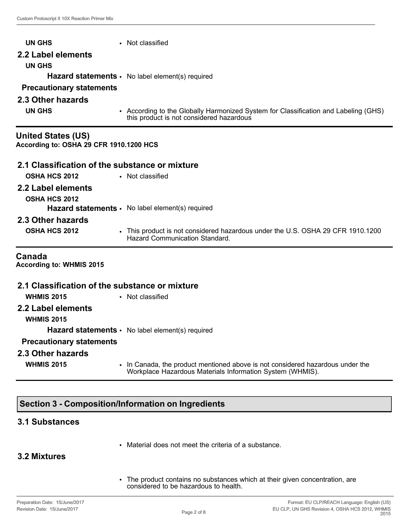| UN GHS                                                               | • Not classified                                                                                                                |
|----------------------------------------------------------------------|---------------------------------------------------------------------------------------------------------------------------------|
| 2.2 Label elements                                                   |                                                                                                                                 |
| <b>UN GHS</b>                                                        |                                                                                                                                 |
|                                                                      | Hazard statements · No label element(s) required                                                                                |
| <b>Precautionary statements</b>                                      |                                                                                                                                 |
| 2.3 Other hazards                                                    |                                                                                                                                 |
| <b>UN GHS</b>                                                        | • According to the Globally Harmonized System for Classification and Labeling (GHS)<br>this product is not considered hazardous |
| <b>United States (US)</b><br>According to: OSHA 29 CFR 1910.1200 HCS |                                                                                                                                 |
| 2.1 Classification of the substance or mixture                       |                                                                                                                                 |
| <b>OSHA HCS 2012</b>                                                 | • Not classified                                                                                                                |
| 2.2 Label elements                                                   |                                                                                                                                 |
| <b>OSHA HCS 2012</b>                                                 |                                                                                                                                 |
|                                                                      | Hazard statements · No label element(s) required                                                                                |
| 2.3 Other hazards                                                    |                                                                                                                                 |
| <b>OSHA HCS 2012</b>                                                 | • This product is not considered hazardous under the U.S. OSHA 29 CFR 1910.1200<br><b>Hazard Communication Standard.</b>        |
| Canada<br><b>According to: WHMIS 2015</b>                            |                                                                                                                                 |
| 2.1 Classification of the substance or mixture                       |                                                                                                                                 |
| <b>WHMIS 2015</b>                                                    | • Not classified                                                                                                                |

**2.2 Label elements**

**WHMIS 2015**

**Hazard statements** • No label element(s) required

# **Precautionary statements**

#### **2.3 Other hazards**

- 
- **WHMIS 2015** In Canada, the product mentioned above is not considered hazardous under the Workplace Hazardous Materials Information System (WHMIS).

# **Section 3 - Composition/Information on Ingredients**

### **3.1 Substances**

• Material does not meet the criteria of a substance.

# **3.2 Mixtures**

• The product contains no substances which at their given concentration, are considered to be hazardous to health.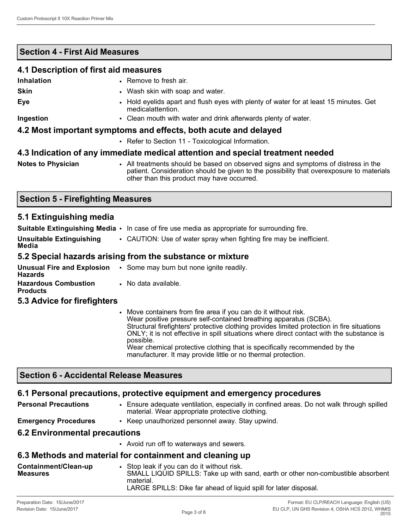# **Section 4 - First Aid Measures**

# **4.1 Description of first aid measures Inhalation** • Remove to fresh air. **Skin** • Wash skin with soap and water. **Eye** • Hold eyelids apart and flush eyes with plenty of water for at least 15 minutes. Get medicalattention. **Ingestion** • Clean mouth with water and drink afterwards plenty of water. **4.2 Most important symptoms and effects, both acute and delayed** • Refer to Section 11 - Toxicological Information. **4.3 Indication of any immediate medical attention and special treatment needed**

**Notes to Physician** • All treatments should be based on observed signs and symptoms of distress in the patient. Consideration should be given to the possibility that overexposure to materials other than this product may have occurred.

# **Section 5 - Firefighting Measures**

# **5.1 Extinguishing media**

|                                          | <b>Suitable Extinguishing Media <math>\cdot</math></b> In case of fire use media as appropriate for surrounding fire. |
|------------------------------------------|-----------------------------------------------------------------------------------------------------------------------|
| <b>Unsuitable Extinguishing</b><br>Media | • CAUTION: Use of water spray when fighting fire may be inefficient.                                                  |
|                                          | 5.2 Special hazards arising from the substance or mixture                                                             |

| <b>Unusual Fire and Explosion</b><br>Hazards   | • Some may burn but none ignite readily. |
|------------------------------------------------|------------------------------------------|
| <b>Hazardous Combustion</b><br><b>Products</b> | • No data available.                     |

### **5.3 Advice for firefighters**

• Move containers from fire area if you can do it without risk. Wear positive pressure self-contained breathing apparatus (SCBA). Structural firefighters' protective clothing provides limited protection in fire situations ONLY; it is not effective in spill situations where direct contact with the substance is possible. Wear chemical protective clothing that is specifically recommended by the manufacturer. It may provide little or no thermal protection.

# **Section 6 - Accidental Release Measures**

# **6.1 Personal precautions, protective equipment and emergency procedures**

| <b>Personal Precautions</b> | • Ensure adequate ventilation, especially in confined areas. Do not walk through spilled<br>material. Wear appropriate protective clothing. |
|-----------------------------|---------------------------------------------------------------------------------------------------------------------------------------------|
|                             |                                                                                                                                             |

**Emergency Procedures** • Keep unauthorized personnel away. Stay upwind.

# **6.2 Environmental precautions**

• Avoid run off to waterways and sewers.

# **6.3 Methods and material for containment and cleaning up**

| Containment/Clean-up | Stop leak if you can do it without risk.                                         |
|----------------------|----------------------------------------------------------------------------------|
| <b>Measures</b>      | SMALL LIQUID SPILLS: Take up with sand, earth or other non-combustible absorbent |
| material.            | LARGE SPILLS: Dike far ahead of liquid spill for later disposal.                 |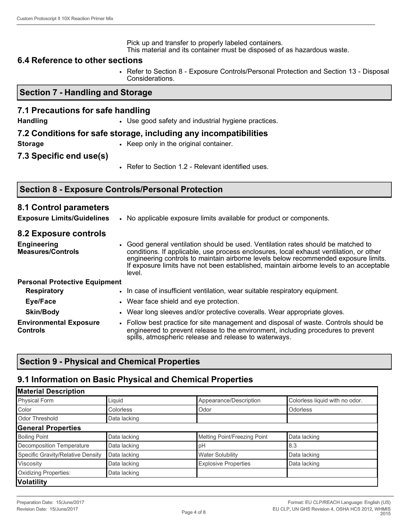Pick up and transfer to properly labeled containers. This material and its container must be disposed of as hazardous waste.

#### **6.4 Reference to other sections**

• Refer to Section 8 - Exposure Controls/Personal Protection and Section 13 - Disposal Considerations.

#### **Section 7 - Handling and Storage**

#### **7.1 Precautions for safe handling**

**Handling • Use good safety and industrial hygiene practices.** 

#### **7.2 Conditions for safe storage, including any incompatibilities**

**Storage • Keep only in the original container.** 

**7.3 Specific end use(s)**

• Refer to Section 1.2 - Relevant identified uses.

### **Section 8 - Exposure Controls/Personal Protection**

### **8.1 Control parameters**

**Exposure Limits/Guidelines** • No applicable exposure limits available for product or components.

#### **8.2 Exposure controls**

**Engineering Measures/Controls** • Good general ventilation should be used. Ventilation rates should be matched to conditions. If applicable, use process enclosures, local exhaust ventilation, or other engineering controls to maintain airborne levels below recommended exposure limits. If exposure limits have not been established, maintain airborne levels to an acceptable level.

# **Personal Protective Equipment**

| <b>Respiratory</b>                               | • In case of insufficient ventilation, wear suitable respiratory equipment.                                                                                                                                                        |
|--------------------------------------------------|------------------------------------------------------------------------------------------------------------------------------------------------------------------------------------------------------------------------------------|
| Eye/Face                                         | • Wear face shield and eye protection.                                                                                                                                                                                             |
| <b>Skin/Body</b>                                 | • Wear long sleeves and/or protective coveralls. Wear appropriate gloves.                                                                                                                                                          |
| <b>Environmental Exposure</b><br><b>Controls</b> | • Follow best practice for site management and disposal of waste. Controls should be<br>engineered to prevent release to the environment, including procedures to prevent<br>spills, atmospheric release and release to waterways. |

# **Section 9 - Physical and Chemical Properties**

### **9.1 Information on Basic Physical and Chemical Properties**

| <b>Material Description</b>       |              |                              |                                |
|-----------------------------------|--------------|------------------------------|--------------------------------|
| Physical Form                     | Liquid       | Appearance/Description       | Colorless liquid with no odor. |
| Color                             | Colorless    | Odor                         | Odorless                       |
| Odor Threshold                    | Data lacking |                              |                                |
| <b>General Properties</b>         |              |                              |                                |
| <b>Boiling Point</b>              | Data lacking | Melting Point/Freezing Point | Data lacking                   |
| Decomposition Temperature         | Data lacking | рH                           | 8.3                            |
| Specific Gravity/Relative Density | Data lacking | <b>Water Solubility</b>      | Data lacking                   |
| Viscosity                         | Data lacking | <b>Explosive Properties</b>  | Data lacking                   |
| Oxidizing Properties:             | Data lacking |                              |                                |
| <b>Volatility</b>                 |              |                              |                                |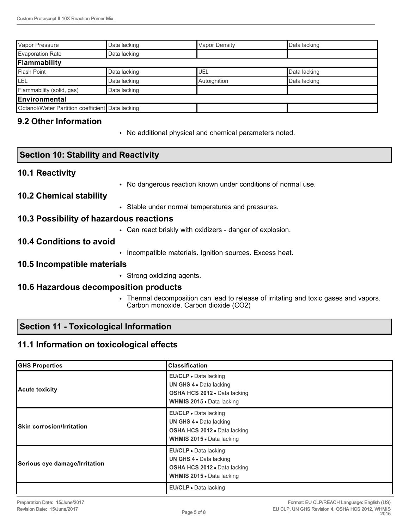| Vapor Pressure                                   | Data lacking | <b>Vapor Density</b> | Data lacking |  |
|--------------------------------------------------|--------------|----------------------|--------------|--|
| <b>Evaporation Rate</b>                          | Data lacking |                      |              |  |
| Flammability                                     |              |                      |              |  |
| <b>Flash Point</b>                               | Data lacking | UEL                  | Data lacking |  |
| LEL                                              | Data lacking | Autoignition         | Data lacking |  |
| Flammability (solid, gas)                        | Data lacking |                      |              |  |
| Environmental                                    |              |                      |              |  |
| Octanol/Water Partition coefficient Data lacking |              |                      |              |  |

# **9.2 Other Information**

• No additional physical and chemical parameters noted.

# **Section 10: Stability and Reactivity**

### **10.1 Reactivity**

• No dangerous reaction known under conditions of normal use.

### **10.2 Chemical stability**

• Stable under normal temperatures and pressures.

### **10.3 Possibility of hazardous reactions**

• Can react briskly with oxidizers - danger of explosion.

### **10.4 Conditions to avoid**

• Incompatible materials. Ignition sources. Excess heat.

#### **10.5 Incompatible materials**

• Strong oxidizing agents.

#### **10.6 Hazardous decomposition products**

• Thermal decomposition can lead to release of irritating and toxic gases and vapors. Carbon monoxide. Carbon dioxide (CO2)

### **Section 11 - Toxicological Information**

# **11.1 Information on toxicological effects**

| <b>GHS Properties</b>            | <b>Classification</b>                                                                                                       |
|----------------------------------|-----------------------------------------------------------------------------------------------------------------------------|
| <b>Acute toxicity</b>            | EU/CLP • Data lacking<br>UN GHS 4 . Data lacking<br>OSHA HCS 2012 · Data lacking<br>WHMIS 2015 . Data lacking               |
| <b>Skin corrosion/Irritation</b> | EU/CLP . Data lacking<br>UN GHS 4 . Data lacking<br><b>OSHA HCS 2012 - Data lacking</b><br><b>WHMIS 2015 • Data lacking</b> |
| Serious eye damage/Irritation    | EU/CLP · Data lacking<br>UN GHS 4 . Data lacking<br>OSHA HCS 2012 · Data lacking<br>WHMIS 2015 . Data lacking               |
|                                  | EU/CLP · Data lacking                                                                                                       |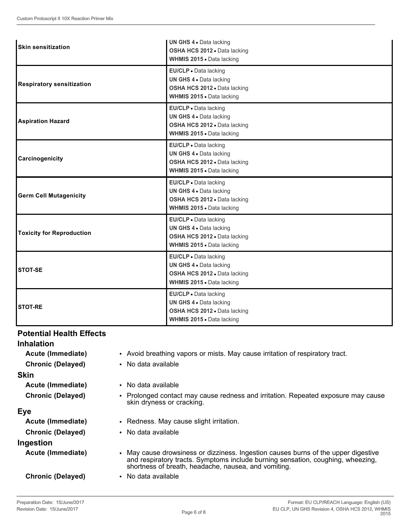| <b>Skin sensitization</b>        | <b>UN GHS 4 · Data lacking</b><br>OSHA HCS 2012 . Data lacking<br>WHMIS 2015 . Data lacking                   |
|----------------------------------|---------------------------------------------------------------------------------------------------------------|
| <b>Respiratory sensitization</b> | EU/CLP . Data lacking<br>UN GHS 4 . Data lacking<br>OSHA HCS 2012 . Data lacking<br>WHMIS 2015 . Data lacking |
| <b>Aspiration Hazard</b>         | EU/CLP · Data lacking<br>UN GHS 4 . Data lacking<br>OSHA HCS 2012 . Data lacking<br>WHMIS 2015 . Data lacking |
| Carcinogenicity                  | EU/CLP · Data lacking<br>UN GHS 4 . Data lacking<br>OSHA HCS 2012 . Data lacking<br>WHMIS 2015 . Data lacking |
| <b>Germ Cell Mutagenicity</b>    | EU/CLP . Data lacking<br>UN GHS 4 . Data lacking<br>OSHA HCS 2012 . Data lacking<br>WHMIS 2015 . Data lacking |
| <b>Toxicity for Reproduction</b> | EU/CLP . Data lacking<br>UN GHS 4 . Data lacking<br>OSHA HCS 2012 . Data lacking<br>WHMIS 2015 . Data lacking |
| <b>STOT-SE</b>                   | EU/CLP • Data lacking<br>UN GHS 4 . Data lacking<br>OSHA HCS 2012 . Data lacking<br>WHMIS 2015 . Data lacking |
| <b>STOT-RE</b>                   | EU/CLP . Data lacking<br>UN GHS 4 . Data lacking<br>OSHA HCS 2012 . Data lacking<br>WHMIS 2015 . Data lacking |

# **Potential Health Effects**

### **Inhalation**

**Acute (Immediate)** • Avoid breathing vapors or mists. May cause irritation of respiratory tract.

**Chronic (Delayed)** • No data available

#### **Skin**

**Acute (Immediate)** • No data available **Chronic (Delayed)** • Prolonged contact may cause redness and irritation. Repeated exposure may cause

# **Eye**

**Acute (Immediate)** • Redness. May cause slight irritation. **Chronic (Delayed)** • No data available **Ingestion Acute (Immediate)** • May cause drowsiness or dizziness. Ingestion causes burns of the upper digestive and respiratory tracts. Symptoms include burning sensation, coughing, wheezing, shortness of breath, headache, nausea, and vomiting.

**Chronic (Delayed)** • No data available

skin dryness or cracking.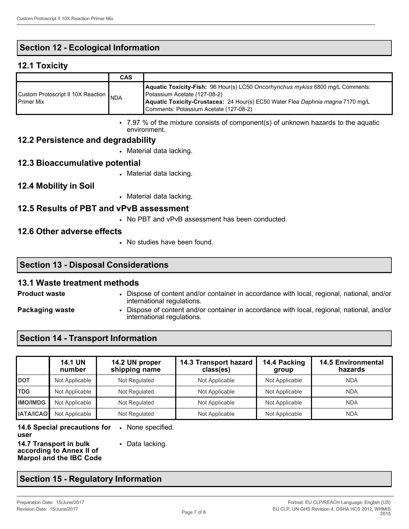# **Section 12 - Ecological Information**

## **12.1 Toxicity**

|                                                             | <b>CAS</b> |                                                                                                                                                                                                                                            |
|-------------------------------------------------------------|------------|--------------------------------------------------------------------------------------------------------------------------------------------------------------------------------------------------------------------------------------------|
| Custom Protoscript II 10X Reaction NDA<br><b>Primer Mix</b> |            | Aquatic Toxicity-Fish: 96 Hour(s) LC50 Oncorhynchus mykiss 6800 mg/L Comments:<br>Potassium Acetate (127-08-2)<br>Aquatic Toxicity-Crustacea: 24 Hour(s) EC50 Water Flea Daphnia magna 7170 mg/L<br>Comments: Potassium Acetate (127-08-2) |

• 7.97 % of the mixture consists of component(s) of unknown hazards to the aquatic environment.

### **12.2 Persistence and degradability**

• Material data lacking.

### **12.3 Bioaccumulative potential**

• Material data lacking.

### **12.4 Mobility in Soil**

• Material data lacking.

### **12.5 Results of PBT and vPvB assessment**

• No PBT and vPvB assessment has been conducted.

### **12.6 Other adverse effects**

• No studies have been found.

# **Section 13 - Disposal Considerations**

#### **13.1 Waste treatment methods**

- **Product waste** Dispose of content and/or container in accordance with local, regional, national, and/or international regulations.
- 
- **Packaging waste Dispose of content and/or container in accordance with local, regional, national, and/or** international regulations.

# **Section 14 - Transport Information**

|                  | <b>14.1 UN</b><br>number | 14.2 UN proper<br>shipping name | 14.3 Transport hazard<br>class(es) | 14.4 Packing<br>group | <b>14.5 Environmental</b><br>hazards |
|------------------|--------------------------|---------------------------------|------------------------------------|-----------------------|--------------------------------------|
| <b>DOT</b>       | Not Applicable           | Not Regulated                   | Not Applicable                     | Not Applicable        | <b>NDA</b>                           |
| <b>TDG</b>       | Not Applicable           | Not Regulated                   | Not Applicable                     | Not Applicable        | <b>NDA</b>                           |
| <b>IMO/IMDG</b>  | Not Applicable           | Not Regulated                   | Not Applicable                     | Not Applicable        | <b>NDA</b>                           |
| <b>IATA/ICAO</b> | Not Applicable           | Not Regulated                   | Not Applicable                     | Not Applicable        | <b>NDA</b>                           |

**14.6 Special precautions for**  • None specified. **user**

**14.7 Transport in bulk according to Annex II of Marpol and the IBC Code** • Data lacking.

# **Section 15 - Regulatory Information**